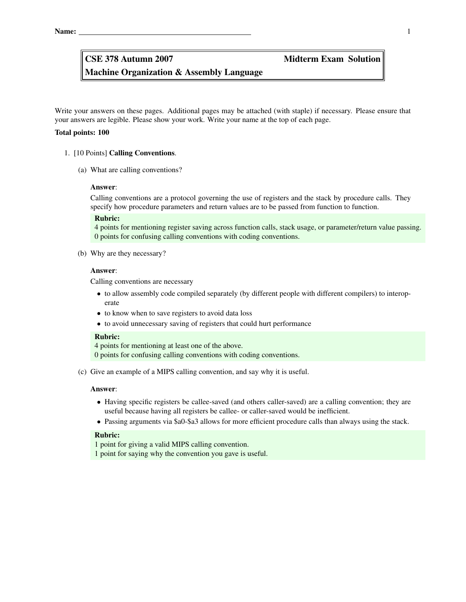Machine Organization & Assembly Language

Write your answers on these pages. Additional pages may be attached (with staple) if necessary. Please ensure that your answers are legible. Please show your work. Write your name at the top of each page.

#### Total points: 100

#### 1. [10 Points] Calling Conventions.

(a) What are calling conventions?

#### Answer:

Calling conventions are a protocol governing the use of registers and the stack by procedure calls. They specify how procedure parameters and return values are to be passed from function to function.

# Rubric:

4 points for mentioning register saving across function calls, stack usage, or parameter/return value passing. 0 points for confusing calling conventions with coding conventions.

(b) Why are they necessary?

# Answer:

Calling conventions are necessary

- to allow assembly code compiled separately (by different people with different compilers) to interoperate
- to know when to save registers to avoid data loss
- to avoid unnecessary saving of registers that could hurt performance

#### Rubric:

4 points for mentioning at least one of the above. 0 points for confusing calling conventions with coding conventions.

(c) Give an example of a MIPS calling convention, and say why it is useful.

#### Answer:

- Having specific registers be callee-saved (and others caller-saved) are a calling convention; they are useful because having all registers be callee- or caller-saved would be inefficient.
- Passing arguments via \$a0-\$a3 allows for more efficient procedure calls than always using the stack.

#### Rubric:

1 point for giving a valid MIPS calling convention.

1 point for saying why the convention you gave is useful.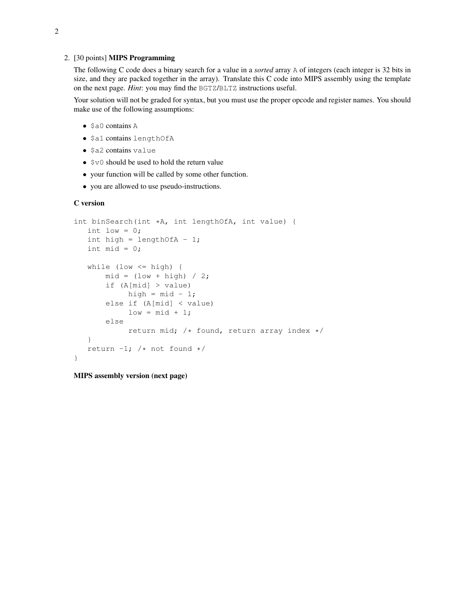#### 2. [30 points] MIPS Programming

The following C code does a binary search for a value in a *sorted* array A of integers (each integer is 32 bits in size, and they are packed together in the array). Translate this C code into MIPS assembly using the template on the next page. *Hint*: you may find the BGTZ/BLTZ instructions useful.

Your solution will not be graded for syntax, but you must use the proper opcode and register names. You should make use of the following assumptions:

- \$a0 contains A
- \$a1 contains lengthOfA
- \$a2 contains value
- $$v0$  should be used to hold the return value
- your function will be called by some other function.
- you are allowed to use pseudo-instructions.

#### C version

```
int binSearch(int *A, int lengthOfA, int value) {
  int low = 0;int high = lengthOfA - 1;
   int mid = 0;
   while (low \le high) {
       mid = (low + high) / 2;if (A[mid] > value)
           high = mid - 1;
       else if (A[mid] < value)
            low = mid + 1;else
            return mid; /* found, return array index */
   }
   return -1; /* not found */
}
```
MIPS assembly version (next page)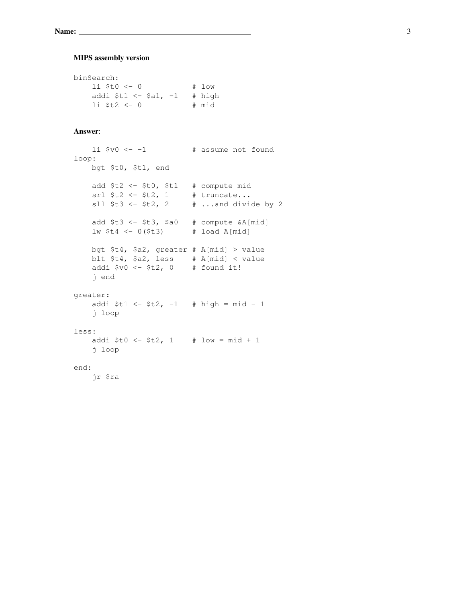# MIPS assembly version

```
binSearch:
   li $t0 <- 0 # low
   addi $t1 <- $a1, -1 # high
   li $t2 <- 0 # mid
```
# Answer:

```
li iv0 <-1 * assume not found
loop:
   bgt $t0, $t1, end
   add $t2 < - $t0, $t1 # compute mid
    srl $t2 <- $t2, 1 # truncate...
    sll $t3 < - $t2, 2 \# ...and divide by 2
   add $t3 < - $t3, $a0 # compute &A[\text{mid}]lw $t4 <- 0($t3) # load A[mid]
   bgt $t4, $a2, greater # A[mid] > value
   blt $t4, $a2, less # A[mid] < value
    addi $v0 \leftarrow $t2, 0 # found it!
    j end
greater:
   addi $t1 < - $t2, -1 # high = mid - 1
   j loop
less:
   addi $t0 <- $t2, 1 # low = mid + 1
   j loop
end:
   jr $ra
```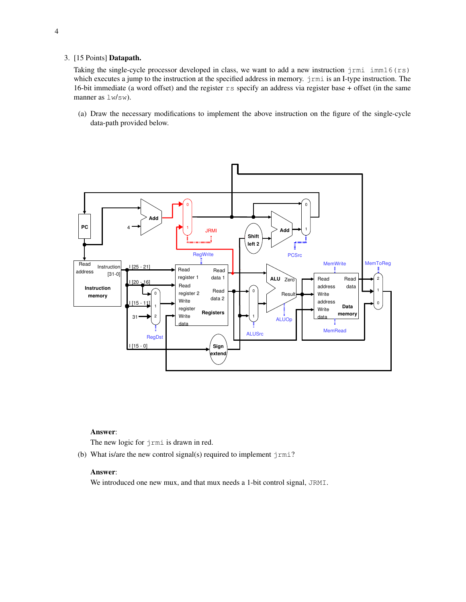# 3. [15 Points] Datapath.

Taking the single-cycle processor developed in class, we want to add a new instruction  $j$ rmi  $im16$  (rs) which executes a jump to the instruction at the specified address in memory.  $j$ rmi is an I-type instruction. The 16-bit immediate (a word offset) and the register  $rs$  specify an address via register base + offset (in the same manner as  $lm/sw$ ).

(a) Draw the necessary modifications to implement the above instruction on the figure of the single-cycle data-path provided below.



#### Answer:

The new logic for jrmi is drawn in red.

(b) What is/are the new control signal(s) required to implement  $j$ rmi?

# Answer:

We introduced one new mux, and that mux needs a 1-bit control signal, JRMI.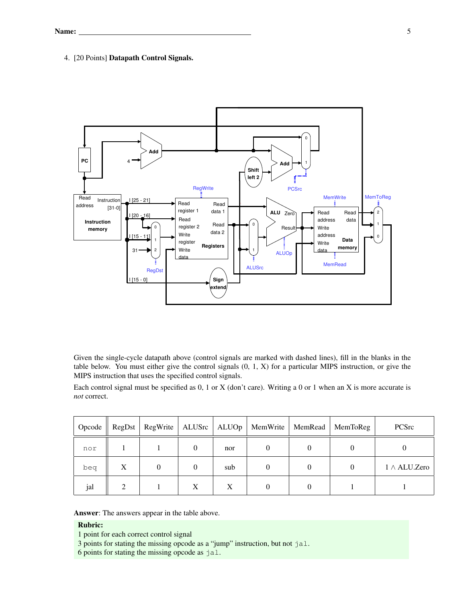# 4. [20 Points] Datapath Control Signals.



Given the single-cycle datapath above (control signals are marked with dashed lines), fill in the blanks in the table below. You must either give the control signals (0, 1, X) for a particular MIPS instruction, or give the MIPS instruction that uses the specified control signals.

Each control signal must be specified as 0, 1 or X (don't care). Writing a 0 or 1 when an X is more accurate is *not* correct.

| Opcode | RegDst        | RegWrite |          |     | ALUSrc   ALUOp   MemWrite | MemRead | MemToReg | PCSrc               |
|--------|---------------|----------|----------|-----|---------------------------|---------|----------|---------------------|
| nor    |               |          |          | nor | 0                         |         |          |                     |
| beq    | X             | $\theta$ | $\Omega$ | sub | 0                         |         |          | $1 \wedge$ ALU.Zero |
| jal    | $\mathcal{L}$ |          | X        | X   | $\theta$                  |         |          |                     |

Answer: The answers appear in the table above.

# Rubric:

1 point for each correct control signal

- 3 points for stating the missing opcode as a "jump" instruction, but not jal.
- 6 points for stating the missing opcode as jal.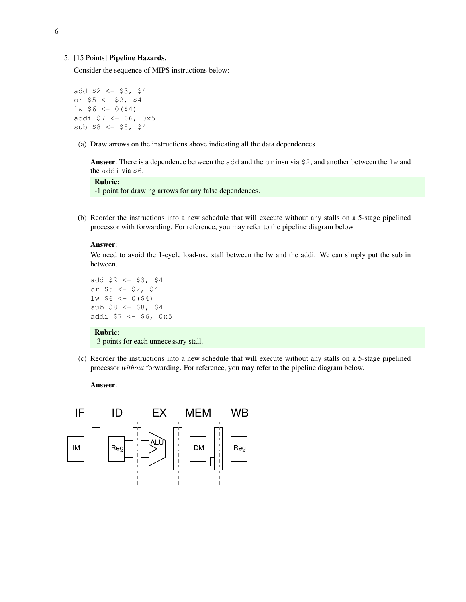#### 5. [15 Points] Pipeline Hazards.

Consider the sequence of MIPS instructions below:

```
add $2 < - $3, $4or $5 <- $2, $4
lw $6 <- 0($4)
addi $7 <- $6, 0x5
sub $8 <- $8, $4
```
(a) Draw arrows on the instructions above indicating all the data dependences.

**Answer:** There is a dependence between the add and the  $\circ$ r insn via \$2, and another between the  $\perp$ w and the addi via \$6.

# Rubric:

-1 point for drawing arrows for any false dependences.

(b) Reorder the instructions into a new schedule that will execute without any stalls on a 5-stage pipelined processor with forwarding. For reference, you may refer to the pipeline diagram below.

#### Answer:

We need to avoid the 1-cycle load-use stall between the lw and the addi. We can simply put the sub in between.

```
add $2 <- $3, $4
or $5 < - $2, $4lw $6 <- 0($4)
sub $8 <- $8, $4addi $7 < - $6, 0x5
```
#### Rubric:

-3 points for each unnecessary stall.

(c) Reorder the instructions into a new schedule that will execute without any stalls on a 5-stage pipelined processor *without* forwarding. For reference, you may refer to the pipeline diagram below.

### Answer: